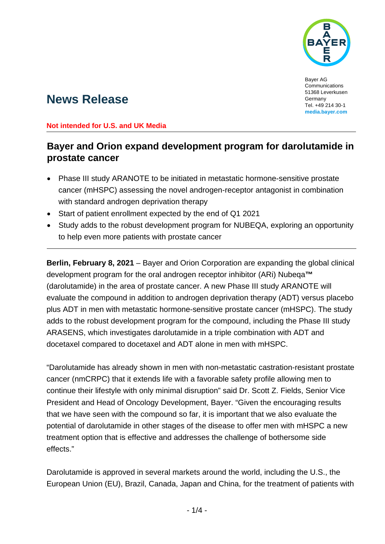

Bayer AG Communications 51368 Leverkusen Germany Tel. +49 214 30-1 **media.bayer.com**

# **News Release**

#### **Not intended for U.S. and UK Media**

## **Bayer and Orion expand development program for darolutamide in prostate cancer**

- Phase III study ARANOTE to be initiated in metastatic hormone-sensitive prostate cancer (mHSPC) assessing the novel androgen-receptor antagonist in combination with standard androgen deprivation therapy
- Start of patient enrollment expected by the end of Q1 2021
- Study adds to the robust development program for NUBEQA, exploring an opportunity to help even more patients with prostate cancer

**Berlin, February 8, 2021** – Bayer and Orion Corporation are expanding the global clinical development program for the oral androgen receptor inhibitor (ARi) Nubeqa**™** (darolutamide) in the area of prostate cancer. A new Phase III study ARANOTE will evaluate the compound in addition to androgen deprivation therapy (ADT) versus placebo plus ADT in men with metastatic hormone-sensitive prostate cancer (mHSPC). The study adds to the robust development program for the compound, including the Phase III study ARASENS, which investigates darolutamide in a triple combination with ADT and docetaxel compared to docetaxel and ADT alone in men with mHSPC.

"Darolutamide has already shown in men with non-metastatic castration-resistant prostate cancer (nmCRPC) that it extends life with a favorable safety profile allowing men to continue their lifestyle with only minimal disruption" said Dr. Scott Z. Fields, Senior Vice President and Head of Oncology Development, Bayer. "Given the encouraging results that we have seen with the compound so far, it is important that we also evaluate the potential of darolutamide in other stages of the disease to offer men with mHSPC a new treatment option that is effective and addresses the challenge of bothersome side effects."

Darolutamide is approved in several markets around the world, including the U.S., the European Union (EU), Brazil, Canada, Japan and China, for the treatment of patients with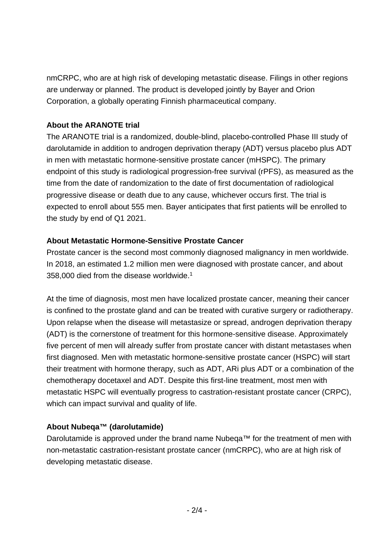nmCRPC, who are at high risk of developing metastatic disease. Filings in other regions are underway or planned. The product is developed jointly by Bayer and Orion Corporation, a globally operating Finnish pharmaceutical company.

#### **About the ARANOTE trial**

The ARANOTE trial is a randomized, double-blind, placebo-controlled Phase III study of darolutamide in addition to androgen deprivation therapy (ADT) versus placebo plus ADT in men with metastatic hormone-sensitive prostate cancer (mHSPC). The primary endpoint of this study is radiological progression-free survival (rPFS), as measured as the time from the date of randomization to the date of first documentation of radiological progressive disease or death due to any cause, whichever occurs first. The trial is expected to enroll about 555 men. Bayer anticipates that first patients will be enrolled to the study by end of Q1 2021.

#### **About Metastatic Hormone-Sensitive Prostate Cancer**

Prostate cancer is the second most commonly diagnosed malignancy in men worldwide. In 2018, an estimated 1.2 million men were diagnosed with prostate cancer, and about 358,000 died from the disease worldwide.1

At the time of diagnosis, most men have localized prostate cancer, meaning their cancer is confined to the prostate gland and can be treated with curative surgery or radiotherapy. Upon relapse when the disease will metastasize or spread, androgen deprivation therapy (ADT) is the cornerstone of treatment for this hormone-sensitive disease. Approximately five percent of men will already suffer from prostate cancer with distant metastases when first diagnosed. Men with metastatic hormone-sensitive prostate cancer (HSPC) will start their treatment with hormone therapy, such as ADT, ARi plus ADT or a combination of the chemotherapy docetaxel and ADT. Despite this first-line treatment, most men with metastatic HSPC will eventually progress to castration-resistant prostate cancer (CRPC), which can impact survival and quality of life.

### **About Nubeqa™ (darolutamide)**

Darolutamide is approved under the brand name Nubega™ for the treatment of men with non-metastatic castration-resistant prostate cancer (nmCRPC), who are at high risk of developing metastatic disease.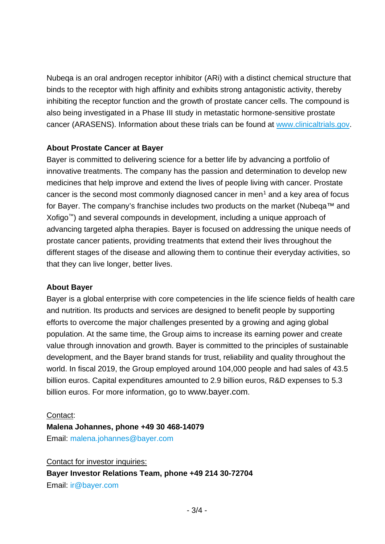Nubeqa is an oral androgen receptor inhibitor (ARi) with a distinct chemical structure that binds to the receptor with high affinity and exhibits strong antagonistic activity, thereby inhibiting the receptor function and the growth of prostate cancer cells. The compound is also being investigated in a Phase III study in metastatic hormone-sensitive prostate cancer (ARASENS). Information about these trials can be found at [www.clinicaltrials.gov.](http://www.clinicaltrials.gov/)

#### **About Prostate Cancer at Bayer**

Bayer is committed to delivering science for a better life by advancing a portfolio of innovative treatments. The company has the passion and determination to develop new medicines that help improve and extend the lives of people living with cancer. Prostate cancer is the second most commonly diagnosed cancer in men<sup>[1](#page-3-0)</sup> and a key area of focus for Bayer. The company's franchise includes two products on the market (Nubeqa™ and Xofigo™) and several compounds in development, including a unique approach of advancing targeted alpha therapies. Bayer is focused on addressing the unique needs of prostate cancer patients, providing treatments that extend their lives throughout the different stages of the disease and allowing them to continue their everyday activities, so that they can live longer, better lives.

#### **About Bayer**

Bayer is a global enterprise with core competencies in the life science fields of health care and nutrition. Its products and services are designed to benefit people by supporting efforts to overcome the major challenges presented by a growing and aging global population. At the same time, the Group aims to increase its earning power and create value through innovation and growth. Bayer is committed to the principles of sustainable development, and the Bayer brand stands for trust, reliability and quality throughout the world. In fiscal 2019, the Group employed around 104,000 people and had sales of 43.5 billion euros. Capital expenditures amounted to 2.9 billion euros, R&D expenses to 5.3 billion euros. For more information, go to [www.bayer.com.](http://www.bayer.com/)

#### Contact:

#### **Malena Johannes, phone +49 30 468-14079**

Email: [malena.johannes@bayer.com](mailto:malena.johannes@bayer.com)

Contact for investor inquiries: **Bayer Investor Relations Team, phone +49 214 30-72704** Email: [ir@bayer.com](mailto:ir@bayer.com)